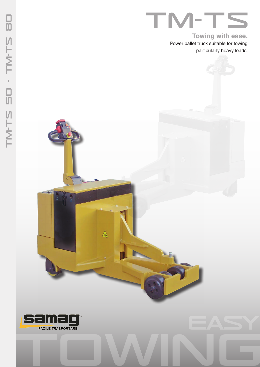**Towing with ease.**

Power pallet truck suitable for towing particularly heavy loads.



A